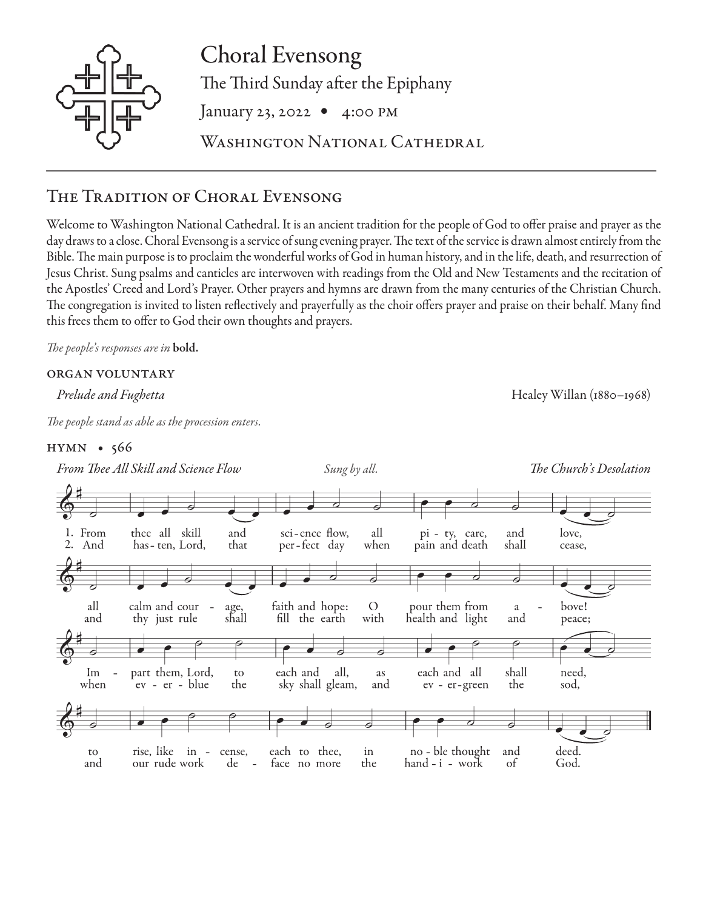

Choral Evensong The Third Sunday after the Epiphany January 23, 2022 • 4:00 PM WASHINGTON NATIONAL CATHEDRAL

# The Tradition of Choral Evensong

Welcome to Washington National Cathedral. It is an ancient tradition for the people of God to offer praise and prayer as the day draws to a close. Choral Evensong is a service of sung evening prayer. The text of the service is drawn almost entirely from the Bible. The main purpose is to proclaim the wonderful works of God in human history, and in the life, death, and resurrection of Jesus Christ. Sung psalms and canticles are interwoven with readings from the Old and New Testaments and the recitation of the Apostles' Creed and Lord's Prayer. Other prayers and hymns are drawn from the many centuries of the Christian Church. The congregation is invited to listen reflectively and prayerfully as the choir offers prayer and praise on their behalf. Many find this frees them to offer to God their own thoughts and prayers.

*The people's responses are in* bold.

## organ voluntary

*The people stand as able as the procession enters.*

## hymn • 566



*Prelude and Fughetta* Healey Willan (1880–1968)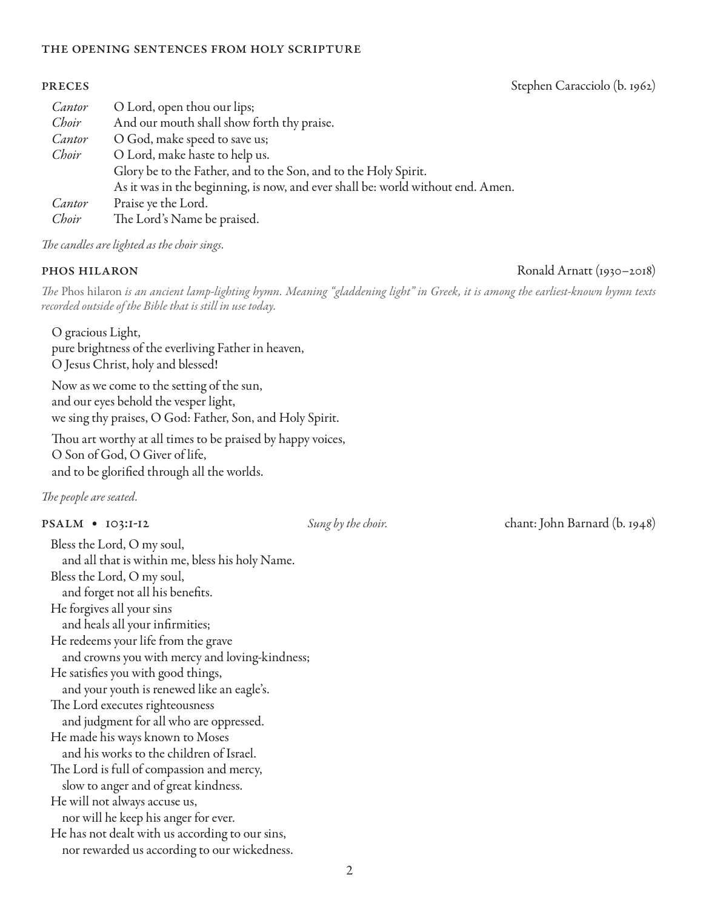### the opening sentences from holy scripture

## *Cantor* O Lord, open thou our lips; *Choir* And our mouth shall show forth thy praise. *Cantor* O God, make speed to save us; *Choir* O Lord, make haste to help us. Glory be to the Father, and to the Son, and to the Holy Spirit. As it was in the beginning, is now, and ever shall be: world without end. Amen. *Cantor* Praise ye the Lord. *Choir* The Lord's Name be praised.

*The candles are lighted as the choir sings.*

*The* Phos hilaron *is an ancient lamp-lighting hymn. Meaning "gladdening light" in Greek, it is among the earliest-known hymn texts recorded outside of the Bible that is still in use today.*

O gracious Light, pure brightness of the everliving Father in heaven, O Jesus Christ, holy and blessed!

Now as we come to the setting of the sun, and our eyes behold the vesper light, we sing thy praises, O God: Father, Son, and Holy Spirit.

Thou art worthy at all times to be praised by happy voices, O Son of God, O Giver of life, and to be glorified through all the worlds.

*The people are seated.* 

Bless the Lord, O my soul, and all that is within me, bless his holy Name. Bless the Lord, O my soul, and forget not all his benefits. He forgives all your sins and heals all your infirmities; He redeems your life from the grave and crowns you with mercy and loving-kindness; He satisfies you with good things, and your youth is renewed like an eagle's. The Lord executes righteousness and judgment for all who are oppressed. He made his ways known to Moses and his works to the children of Israel. The Lord is full of compassion and mercy, slow to anger and of great kindness. He will not always accuse us, nor will he keep his anger for ever. He has not dealt with us according to our sins, nor rewarded us according to our wickedness.

psalm • 103:1-12 *Sung by the choir.* chant: John Barnard (b. 1948)

phos hilaron Ronald Arnatt (1930–2018)

### **PRECES** Stephen Caracciolo (b. 1962)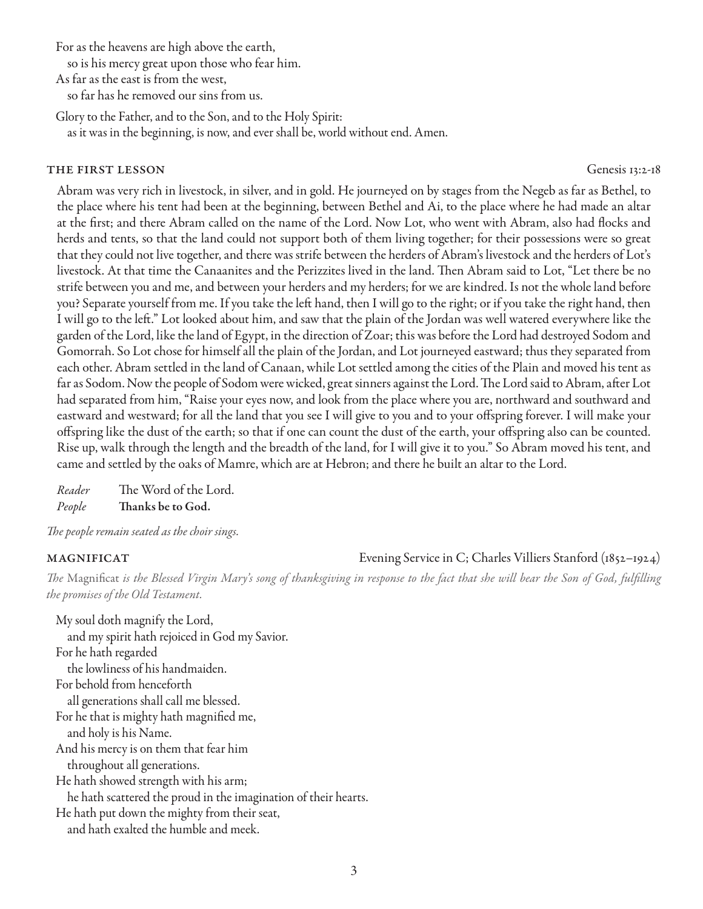For as the heavens are high above the earth,

so is his mercy great upon those who fear him.

As far as the east is from the west,

so far has he removed our sins from us.

Glory to the Father, and to the Son, and to the Holy Spirit:

as it was in the beginning, is now, and ever shall be, world without end. Amen.

## THE FIRST LESSON Genesis 13:2-18

Abram was very rich in livestock, in silver, and in gold. He journeyed on by stages from the Negeb as far as Bethel, to the place where his tent had been at the beginning, between Bethel and Ai, to the place where he had made an altar at the first; and there Abram called on the name of the Lord. Now Lot, who went with Abram, also had flocks and herds and tents, so that the land could not support both of them living together; for their possessions were so great that they could not live together, and there was strife between the herders of Abram's livestock and the herders of Lot's livestock. At that time the Canaanites and the Perizzites lived in the land. Then Abram said to Lot, "Let there be no strife between you and me, and between your herders and my herders; for we are kindred. Is not the whole land before you? Separate yourself from me. If you take the left hand, then I will go to the right; or if you take the right hand, then I will go to the left." Lot looked about him, and saw that the plain of the Jordan was well watered everywhere like the garden of the Lord, like the land of Egypt, in the direction of Zoar; this was before the Lord had destroyed Sodom and Gomorrah. So Lot chose for himself all the plain of the Jordan, and Lot journeyed eastward; thus they separated from each other. Abram settled in the land of Canaan, while Lot settled among the cities of the Plain and moved his tent as far as Sodom. Now the people of Sodom were wicked, great sinners against the Lord. The Lord said to Abram, after Lot had separated from him, "Raise your eyes now, and look from the place where you are, northward and southward and eastward and westward; for all the land that you see I will give to you and to your offspring forever. I will make your offspring like the dust of the earth; so that if one can count the dust of the earth, your offspring also can be counted. Rise up, walk through the length and the breadth of the land, for I will give it to you." So Abram moved his tent, and came and settled by the oaks of Mamre, which are at Hebron; and there he built an altar to the Lord.

*Reader* The Word of the Lord. *People* Thanks be to God.

*The people remain seated as the choir sings.*

## magnificat Evening Service in C; Charles Villiers Stanford (1852–1924)

*The* Magnificat *is the Blessed Virgin Mary's song of thanksgiving in response to the fact that she will bear the Son of God, fulfilling the promises of the Old Testament.* 

My soul doth magnify the Lord, and my spirit hath rejoiced in God my Savior. For he hath regarded the lowliness of his handmaiden. For behold from henceforth all generations shall call me blessed. For he that is mighty hath magnified me, and holy is his Name. And his mercy is on them that fear him throughout all generations. He hath showed strength with his arm; he hath scattered the proud in the imagination of their hearts. He hath put down the mighty from their seat, and hath exalted the humble and meek.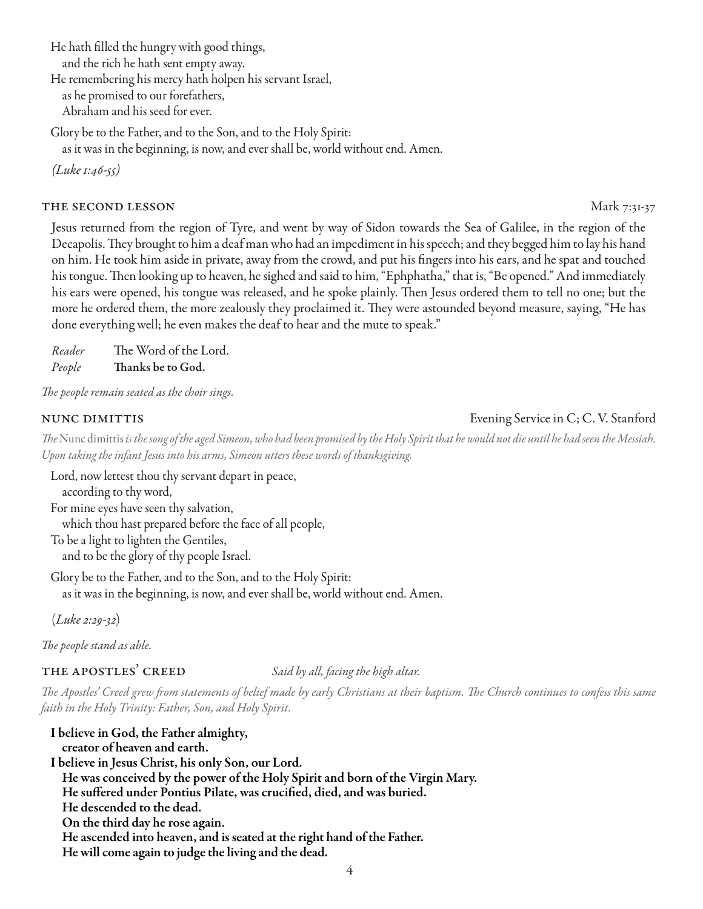He hath filled the hungry with good things, and the rich he hath sent empty away.

He remembering his mercy hath holpen his servant Israel,

as he promised to our forefathers,

Abraham and his seed for ever.

Glory be to the Father, and to the Son, and to the Holy Spirit:

as it was in the beginning, is now, and ever shall be, world without end. Amen.

*(Luke 1:46-55)*

## **THE SECOND LESSON** Mark 7:31-37

Jesus returned from the region of Tyre, and went by way of Sidon towards the Sea of Galilee, in the region of the Decapolis. They brought to him a deaf man who had an impediment in his speech; and they begged him to lay his hand on him. He took him aside in private, away from the crowd, and put his fingers into his ears, and he spat and touched his tongue. Then looking up to heaven, he sighed and said to him, "Ephphatha," that is, "Be opened." And immediately his ears were opened, his tongue was released, and he spoke plainly. Then Jesus ordered them to tell no one; but the more he ordered them, the more zealously they proclaimed it. They were astounded beyond measure, saying, "He has done everything well; he even makes the deaf to hear and the mute to speak."

*Reader* The Word of the Lord. *People* Thanks be to God.

*The people remain seated as the choir sings.*

## nunc dimittis Evening Service in C; C. V. Stanford

*The* Nunc dimittis *is the song of the aged Simeon, who had been promised by the Holy Spirit that he would not die until he had seen the Messiah. Upon taking the infant Jesus into his arms, Simeon utters these words of thanksgiving.* 

Lord, now lettest thou thy servant depart in peace, according to thy word, For mine eyes have seen thy salvation,

which thou hast prepared before the face of all people,

To be a light to lighten the Gentiles, and to be the glory of thy people Israel.

Glory be to the Father, and to the Son, and to the Holy Spirit: as it was in the beginning, is now, and ever shall be, world without end. Amen.

(*Luke 2:29-32*)

*The people stand as able.*

## the apostles' creed *Said by all, facing the high altar.*

*The Apostles' Creed grew from statements of belief made by early Christians at their baptism. The Church continues to confess this same faith in the Holy Trinity: Father, Son, and Holy Spirit.*

I believe in God, the Father almighty, creator of heaven and earth. I believe in Jesus Christ, his only Son, our Lord. He was conceived by the power of the Holy Spirit and born of the Virgin Mary. He suffered under Pontius Pilate, was crucified, died, and was buried. He descended to the dead. On the third day he rose again. He ascended into heaven, and is seated at the right hand of the Father. He will come again to judge the living and the dead.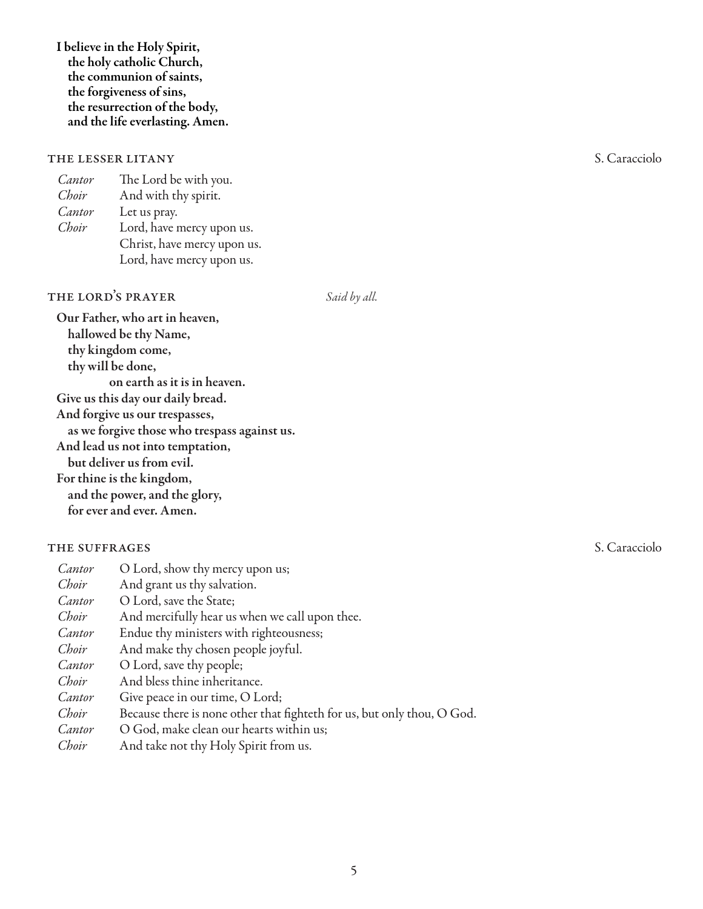I believe in the Holy Spirit, the holy catholic Church, the communion of saints, the forgiveness of sins, the resurrection of the body, and the life everlasting. Amen.

## THE LESSER LITANY S. Caracciolo

*Cantor* The Lord be with you. *Choir* And with thy spirit.<br>*Cantor* Let us prav. Let us pray. *Choir* Lord, have mercy upon us. Christ, have mercy upon us. Lord, have mercy upon us.

## THE LORD<sup>'</sup>S PRAYER *Said by all.*

Our Father, who art in heaven, hallowed be thy Name, thy kingdom come, thy will be done, on earth as it is in heaven. Give us this day our daily bread. And forgive us our trespasses, as we forgive those who trespass against us. And lead us not into temptation, but deliver us from evil. For thine is the kingdom, and the power, and the glory, for ever and ever. Amen.

## THE SUFFRAGES S. Caracciology S. Caracciology S. Caracciology S. Caracciology S. Caracciology S. Caracciology S. Caracciology S. Caracciology S. Caracciology S. Caracciology S. Caracciology S. Caracciology S. Caracciology

| Cantor | O Lord, show thy mercy upon us;                                         |
|--------|-------------------------------------------------------------------------|
| Choir  | And grant us thy salvation.                                             |
| Cantor | O Lord, save the State;                                                 |
| Choir  | And mercifully hear us when we call upon thee.                          |
| Cantor | Endue thy ministers with righteousness;                                 |
| Choir  | And make thy chosen people joyful.                                      |
| Cantor | O Lord, save thy people;                                                |
| Choir  | And bless thine inheritance.                                            |
| Cantor | Give peace in our time, O Lord;                                         |
| Choir  | Because there is none other that fighteth for us, but only thou, O God. |
| Cantor | O God, make clean our hearts within us;                                 |
| Choir  | And take not thy Holy Spirit from us.                                   |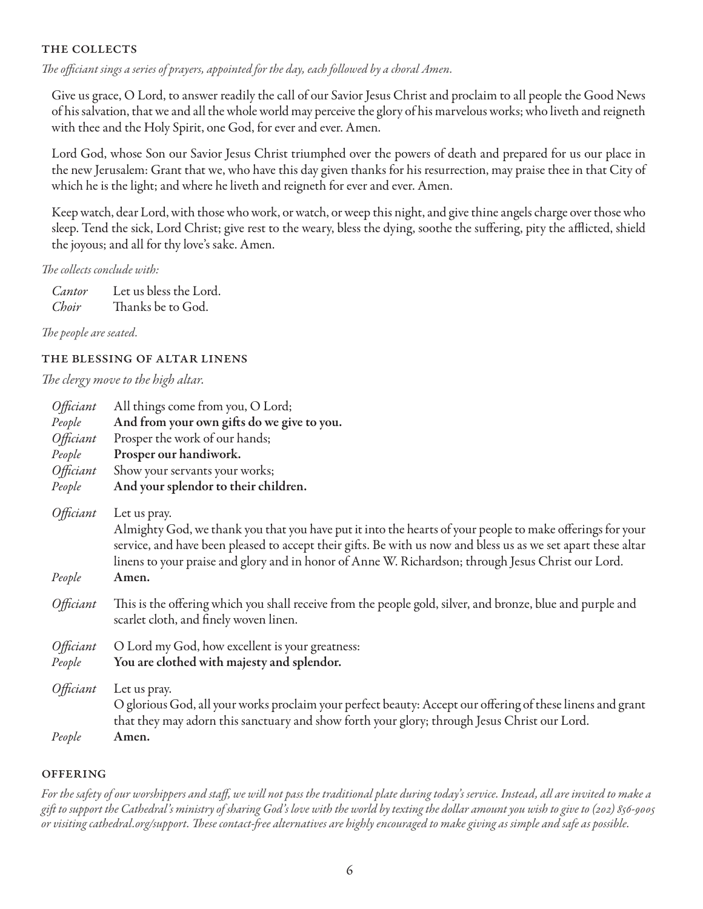## THE COLLECTS

*The officiant sings a series of prayers, appointed for the day, each followed by a choral Amen.* 

Give us grace, O Lord, to answer readily the call of our Savior Jesus Christ and proclaim to all people the Good News of his salvation, that we and all the whole world may perceive the glory of his marvelous works; who liveth and reigneth with thee and the Holy Spirit, one God, for ever and ever. Amen.

Lord God, whose Son our Savior Jesus Christ triumphed over the powers of death and prepared for us our place in the new Jerusalem: Grant that we, who have this day given thanks for his resurrection, may praise thee in that City of which he is the light; and where he liveth and reigneth for ever and ever. Amen.

Keep watch, dear Lord, with those who work, or watch, or weep this night, and give thine angels charge over those who sleep. Tend the sick, Lord Christ; give rest to the weary, bless the dying, soothe the suffering, pity the afflicted, shield the joyous; and all for thy love's sake. Amen.

*The collects conclude with:* 

*Cantor* Let us bless the Lord. *Choir* Thanks be to God.

*The people are seated.* 

## the blessing of altar linens

*The clergy move to the high altar.*

| Officiant                  | All things come from you, O Lord;                                                                                                                                                                                                                                                                                                                |
|----------------------------|--------------------------------------------------------------------------------------------------------------------------------------------------------------------------------------------------------------------------------------------------------------------------------------------------------------------------------------------------|
| People                     | And from your own gifts do we give to you.                                                                                                                                                                                                                                                                                                       |
| Officiant                  | Prosper the work of our hands;                                                                                                                                                                                                                                                                                                                   |
| People                     | Prosper our handiwork.                                                                                                                                                                                                                                                                                                                           |
| Officiant                  | Show your servants your works;                                                                                                                                                                                                                                                                                                                   |
| People                     | And your splendor to their children.                                                                                                                                                                                                                                                                                                             |
| <i>Officiant</i>           | Let us pray.<br>Almighty God, we thank you that you have put it into the hearts of your people to make offerings for your<br>service, and have been pleased to accept their gifts. Be with us now and bless us as we set apart these altar<br>linens to your praise and glory and in honor of Anne W. Richardson; through Jesus Christ our Lord. |
| People                     | Amen.                                                                                                                                                                                                                                                                                                                                            |
| <i>Officiant</i>           | This is the offering which you shall receive from the people gold, silver, and bronze, blue and purple and<br>scarlet cloth, and finely woven linen.                                                                                                                                                                                             |
| <i>Officiant</i><br>People | O Lord my God, how excellent is your greatness:<br>You are clothed with majesty and splendor.                                                                                                                                                                                                                                                    |
| <i>Officiant</i>           | Let us pray.<br>O glorious God, all your works proclaim your perfect beauty: Accept our offering of these linens and grant<br>that they may adorn this sanctuary and show forth your glory; through Jesus Christ our Lord.                                                                                                                       |
| People                     | Amen.                                                                                                                                                                                                                                                                                                                                            |

## **OFFERING**

*For the safety of our worshippers and staff, we will not pass the traditional plate during today's service. Instead, all are invited to make a gift to support the Cathedral's ministry of sharing God's love with the world by texting the dollar amount you wish to give to (202) 856-9005 or visiting cathedral.org/support. These contact-free alternatives are highly encouraged to make giving as simple and safe as possible.*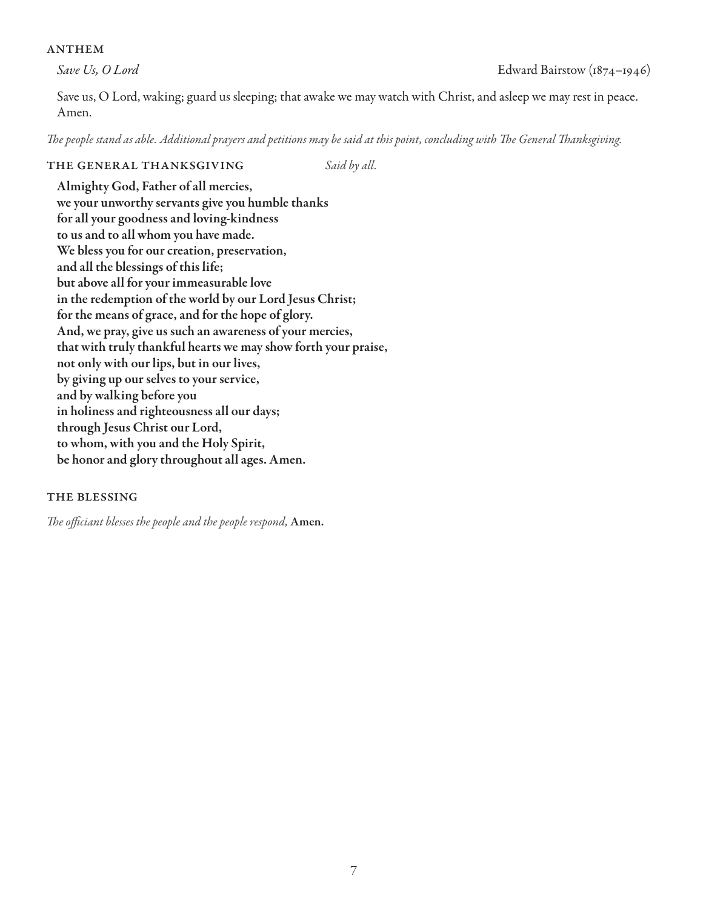## **ANTHEM**

Save us, O Lord, waking; guard us sleeping; that awake we may watch with Christ, and asleep we may rest in peace. Amen.

*The people stand as able. Additional prayers and petitions may be said at this point, concluding with The General Thanksgiving.*

## THE GENERAL THANKSGIVING *Said by all.*

Almighty God, Father of all mercies, we your unworthy servants give you humble thanks for all your goodness and loving-kindness to us and to all whom you have made. We bless you for our creation, preservation, and all the blessings of this life; but above all for your immeasurable love in the redemption of the world by our Lord Jesus Christ; for the means of grace, and for the hope of glory. And, we pray, give us such an awareness of your mercies, that with truly thankful hearts we may show forth your praise, not only with our lips, but in our lives, by giving up our selves to your service, and by walking before you in holiness and righteousness all our days; through Jesus Christ our Lord, to whom, with you and the Holy Spirit, be honor and glory throughout all ages. Amen.

## the blessing

*The officiant blesses the people and the people respond,* Amen.